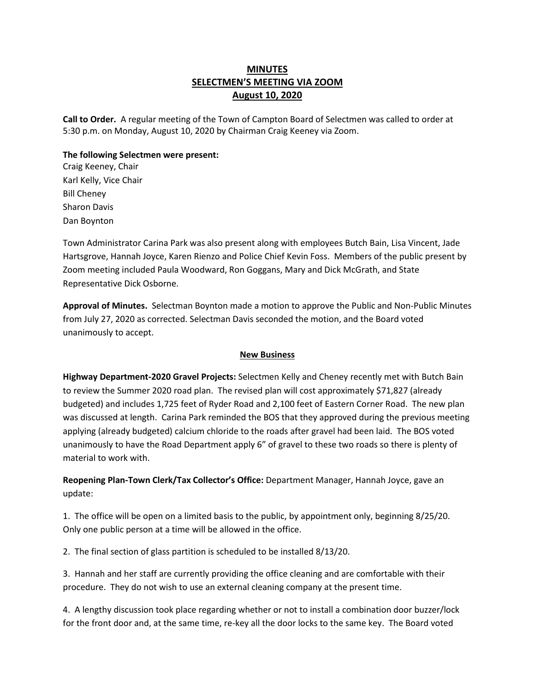# **MINUTES SELECTMEN'S MEETING VIA ZOOM August 10, 2020**

**Call to Order.** A regular meeting of the Town of Campton Board of Selectmen was called to order at 5:30 p.m. on Monday, August 10, 2020 by Chairman Craig Keeney via Zoom.

#### **The following Selectmen were present:**

Craig Keeney, Chair Karl Kelly, Vice Chair Bill Cheney Sharon Davis Dan Boynton

Town Administrator Carina Park was also present along with employees Butch Bain, Lisa Vincent, Jade Hartsgrove, Hannah Joyce, Karen Rienzo and Police Chief Kevin Foss. Members of the public present by Zoom meeting included Paula Woodward, Ron Goggans, Mary and Dick McGrath, and State Representative Dick Osborne.

**Approval of Minutes.** Selectman Boynton made a motion to approve the Public and Non-Public Minutes from July 27, 2020 as corrected. Selectman Davis seconded the motion, and the Board voted unanimously to accept.

#### **New Business**

**Highway Department-2020 Gravel Projects:** Selectmen Kelly and Cheney recently met with Butch Bain to review the Summer 2020 road plan. The revised plan will cost approximately \$71,827 (already budgeted) and includes 1,725 feet of Ryder Road and 2,100 feet of Eastern Corner Road. The new plan was discussed at length. Carina Park reminded the BOS that they approved during the previous meeting applying (already budgeted) calcium chloride to the roads after gravel had been laid. The BOS voted unanimously to have the Road Department apply 6" of gravel to these two roads so there is plenty of material to work with.

**Reopening Plan-Town Clerk/Tax Collector's Office:** Department Manager, Hannah Joyce, gave an update:

1. The office will be open on a limited basis to the public, by appointment only, beginning 8/25/20. Only one public person at a time will be allowed in the office.

2. The final section of glass partition is scheduled to be installed 8/13/20.

3. Hannah and her staff are currently providing the office cleaning and are comfortable with their procedure. They do not wish to use an external cleaning company at the present time.

4. A lengthy discussion took place regarding whether or not to install a combination door buzzer/lock for the front door and, at the same time, re-key all the door locks to the same key. The Board voted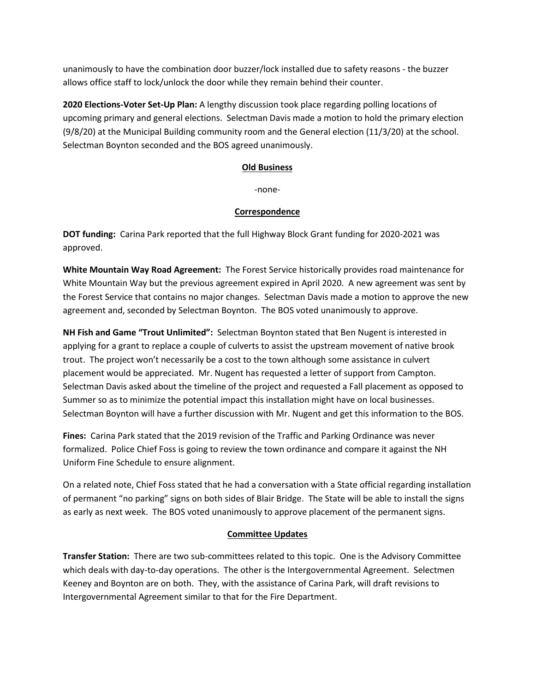unanimously to have the combination door buzzer/lock installed due to safety reasons - the buzzer allows office staff to lock/unlock the door while they remain behind their counter.

**2020 Elections-Voter Set-Up Plan:** A lengthy discussion took place regarding polling locations of upcoming primary and general elections. Selectman Davis made a motion to hold the primary election (9/8/20) at the Municipal Building community room and the General election (11/3/20) at the school. Selectman Boynton seconded and the BOS agreed unanimously.

## **Old Business**

-none-

## **Correspondence**

**DOT funding:** Carina Park reported that the full Highway Block Grant funding for 2020-2021 was approved.

**White Mountain Way Road Agreement:** The Forest Service historically provides road maintenance for White Mountain Way but the previous agreement expired in April 2020. A new agreement was sent by the Forest Service that contains no major changes. Selectman Davis made a motion to approve the new agreement and, seconded by Selectman Boynton. The BOS voted unanimously to approve.

**NH Fish and Game "Trout Unlimited":** Selectman Boynton stated that Ben Nugent is interested in applying for a grant to replace a couple of culverts to assist the upstream movement of native brook trout. The project won't necessarily be a cost to the town although some assistance in culvert placement would be appreciated. Mr. Nugent has requested a letter of support from Campton. Selectman Davis asked about the timeline of the project and requested a Fall placement as opposed to Summer so as to minimize the potential impact this installation might have on local businesses. Selectman Boynton will have a further discussion with Mr. Nugent and get this information to the BOS.

**Fines:** Carina Park stated that the 2019 revision of the Traffic and Parking Ordinance was never formalized. Police Chief Foss is going to review the town ordinance and compare it against the NH Uniform Fine Schedule to ensure alignment.

On a related note, Chief Foss stated that he had a conversation with a State official regarding installation of permanent "no parking" signs on both sides of Blair Bridge. The State will be able to install the signs as early as next week. The BOS voted unanimously to approve placement of the permanent signs.

#### **Committee Updates**

**Transfer Station:** There are two sub-committees related to this topic. One is the Advisory Committee which deals with day-to-day operations. The other is the Intergovernmental Agreement. Selectmen Keeney and Boynton are on both. They, with the assistance of Carina Park, will draft revisions to Intergovernmental Agreement similar to that for the Fire Department.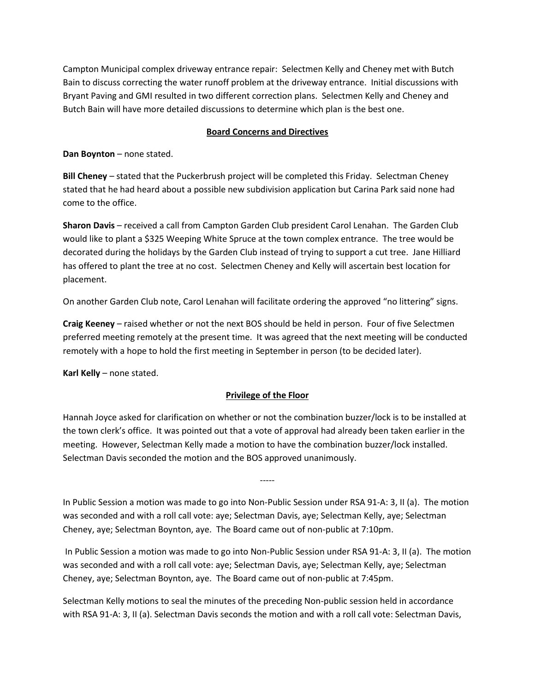Campton Municipal complex driveway entrance repair: Selectmen Kelly and Cheney met with Butch Bain to discuss correcting the water runoff problem at the driveway entrance. Initial discussions with Bryant Paving and GMI resulted in two different correction plans. Selectmen Kelly and Cheney and Butch Bain will have more detailed discussions to determine which plan is the best one.

## **Board Concerns and Directives**

**Dan Boynton** – none stated.

**Bill Cheney** – stated that the Puckerbrush project will be completed this Friday. Selectman Cheney stated that he had heard about a possible new subdivision application but Carina Park said none had come to the office.

**Sharon Davis** – received a call from Campton Garden Club president Carol Lenahan. The Garden Club would like to plant a \$325 Weeping White Spruce at the town complex entrance. The tree would be decorated during the holidays by the Garden Club instead of trying to support a cut tree. Jane Hilliard has offered to plant the tree at no cost. Selectmen Cheney and Kelly will ascertain best location for placement.

On another Garden Club note, Carol Lenahan will facilitate ordering the approved "no littering" signs.

**Craig Keeney** – raised whether or not the next BOS should be held in person. Four of five Selectmen preferred meeting remotely at the present time. It was agreed that the next meeting will be conducted remotely with a hope to hold the first meeting in September in person (to be decided later).

**Karl Kelly** – none stated.

## **Privilege of the Floor**

Hannah Joyce asked for clarification on whether or not the combination buzzer/lock is to be installed at the town clerk's office. It was pointed out that a vote of approval had already been taken earlier in the meeting. However, Selectman Kelly made a motion to have the combination buzzer/lock installed. Selectman Davis seconded the motion and the BOS approved unanimously.

In Public Session a motion was made to go into Non-Public Session under RSA 91-A: 3, II (a). The motion was seconded and with a roll call vote: aye; Selectman Davis, aye; Selectman Kelly, aye; Selectman Cheney, aye; Selectman Boynton, aye. The Board came out of non-public at 7:10pm.

-----

In Public Session a motion was made to go into Non-Public Session under RSA 91-A: 3, II (a). The motion was seconded and with a roll call vote: aye; Selectman Davis, aye; Selectman Kelly, aye; Selectman Cheney, aye; Selectman Boynton, aye. The Board came out of non-public at 7:45pm.

Selectman Kelly motions to seal the minutes of the preceding Non-public session held in accordance with RSA 91-A: 3, II (a). Selectman Davis seconds the motion and with a roll call vote: Selectman Davis,